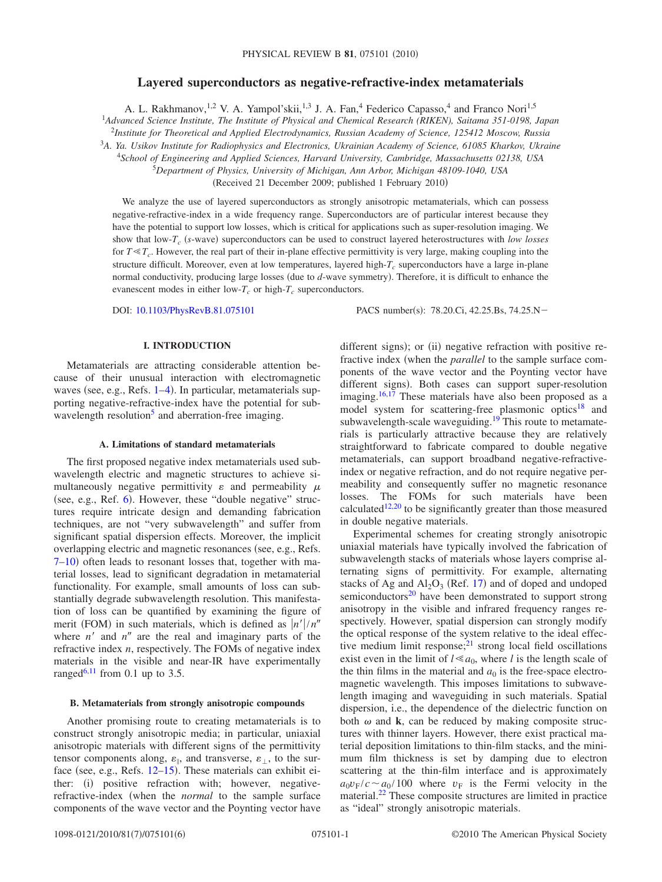# **Layered superconductors as negative-refractive-index metamaterials**

A. L. Rakhmanov,<sup>1,2</sup> V. A. Yampol'skii,<sup>1,3</sup> J. A. Fan,<sup>4</sup> Federico Capasso,<sup>4</sup> and Franco Nori<sup>1,5</sup>

1 *Advanced Science Institute, The Institute of Physical and Chemical Research (RIKEN), Saitama 351-0198, Japan*

2 *Institute for Theoretical and Applied Electrodynamics, Russian Academy of Science, 125412 Moscow, Russia*

<sup>3</sup>*A. Ya. Usikov Institute for Radiophysics and Electronics, Ukrainian Academy of Science, 61085 Kharkov, Ukraine*

<sup>4</sup>*School of Engineering and Applied Sciences, Harvard University, Cambridge, Massachusetts 02138, USA*

5 *Department of Physics, University of Michigan, Ann Arbor, Michigan 48109-1040, USA*

Received 21 December 2009; published 1 February 2010-

We analyze the use of layered superconductors as strongly anisotropic metamaterials, which can possess negative-refractive-index in a wide frequency range. Superconductors are of particular interest because they have the potential to support low losses, which is critical for applications such as super-resolution imaging. We show that low-*T<sub>c</sub>* (s-wave) superconductors can be used to construct layered heterostructures with *low losses* for  $T \ll T_c$ . However, the real part of their in-plane effective permittivity is very large, making coupling into the structure difficult. Moreover, even at low temperatures, layered high-T<sub>c</sub> superconductors have a large in-plane normal conductivity, producing large losses (due to *d*-wave symmetry). Therefore, it is difficult to enhance the evanescent modes in either  $low-T_c$  or high- $T_c$  superconductors.

DOI: [10.1103/PhysRevB.81.075101](http://dx.doi.org/10.1103/PhysRevB.81.075101)

: 78.20.Ci, 42.25.Bs, 74.25.N-

### **I. INTRODUCTION**

Metamaterials are attracting considerable attention because of their unusual interaction with electromagnetic waves (see, e.g., Refs. [1–](#page-4-0)[4](#page-4-1)). In particular, metamaterials supporting negative-refractive-index have the potential for subwavelength resolution<sup>5</sup> and aberration-free imaging.

#### **A. Limitations of standard metamaterials**

The first proposed negative index metamaterials used subwavelength electric and magnetic structures to achieve simultaneously negative permittivity  $\varepsilon$  and permeability  $\mu$ (see, e.g., Ref. [6](#page-4-3)). However, these "double negative" structures require intricate design and demanding fabrication techniques, are not "very subwavelength" and suffer from significant spatial dispersion effects. Moreover, the implicit overlapping electric and magnetic resonances (see, e.g., Refs. [7](#page-4-4)-10) often leads to resonant losses that, together with material losses, lead to significant degradation in metamaterial functionality. For example, small amounts of loss can substantially degrade subwavelength resolution. This manifestation of loss can be quantified by examining the figure of merit (FOM) in such materials, which is defined as  $\frac{n'}{n'}$ where  $n'$  and  $n''$  are the real and imaginary parts of the refractive index *n*, respectively. The FOMs of negative index materials in the visible and near-IR have experimentally ranged<sup>6[,11](#page-4-6)</sup> from 0.1 up to 3.5.

#### **B. Metamaterials from strongly anisotropic compounds**

Another promising route to creating metamaterials is to construct strongly anisotropic media; in particular, uniaxial anisotropic materials with different signs of the permittivity tensor components along,  $\varepsilon_{\parallel}$ , and transverse,  $\varepsilon_{\perp}$ , to the surface (see, e.g., Refs.  $12-15$  $12-15$ ). These materials can exhibit either: (i) positive refraction with; however, negativerefractive-index when the *normal* to the sample surface components of the wave vector and the Poynting vector have

different signs); or (ii) negative refraction with positive refractive index (when the *parallel* to the sample surface components of the wave vector and the Poynting vector have different signs). Both cases can support super-resolution imaging.<sup>16,[17](#page-4-10)</sup> These materials have also been proposed as a model system for scattering-free plasmonic optics<sup>18</sup> and subwavelength-scale waveguiding.<sup>19</sup> This route to metamaterials is particularly attractive because they are relatively straightforward to fabricate compared to double negative metamaterials, can support broadband negative-refractiveindex or negative refraction, and do not require negative permeability and consequently suffer no magnetic resonance losses. The FOMs for such materials have been calculated<sup>12[,20](#page-4-13)</sup> to be significantly greater than those measured in double negative materials.

Experimental schemes for creating strongly anisotropic uniaxial materials have typically involved the fabrication of subwavelength stacks of materials whose layers comprise alternating signs of permittivity. For example, alternating stacks of Ag and  $Al_2O_3$  (Ref. [17](#page-4-10)) and of doped and undoped semiconductors $^{20}$  have been demonstrated to support strong anisotropy in the visible and infrared frequency ranges respectively. However, spatial dispersion can strongly modify the optical response of the system relative to the ideal effective medium limit response;<sup>21</sup> strong local field oscillations exist even in the limit of  $l \ll a_0$ , where *l* is the length scale of the thin films in the material and  $a_0$  is the free-space electromagnetic wavelength. This imposes limitations to subwavelength imaging and waveguiding in such materials. Spatial dispersion, i.e., the dependence of the dielectric function on both  $\omega$  and **k**, can be reduced by making composite structures with thinner layers. However, there exist practical material deposition limitations to thin-film stacks, and the minimum film thickness is set by damping due to electron scattering at the thin-film interface and is approximately  $a_0 v_F / c \sim a_0 / 100$  where  $v_F$  is the Fermi velocity in the material[.22](#page-4-15) These composite structures are limited in practice as "ideal" strongly anisotropic materials.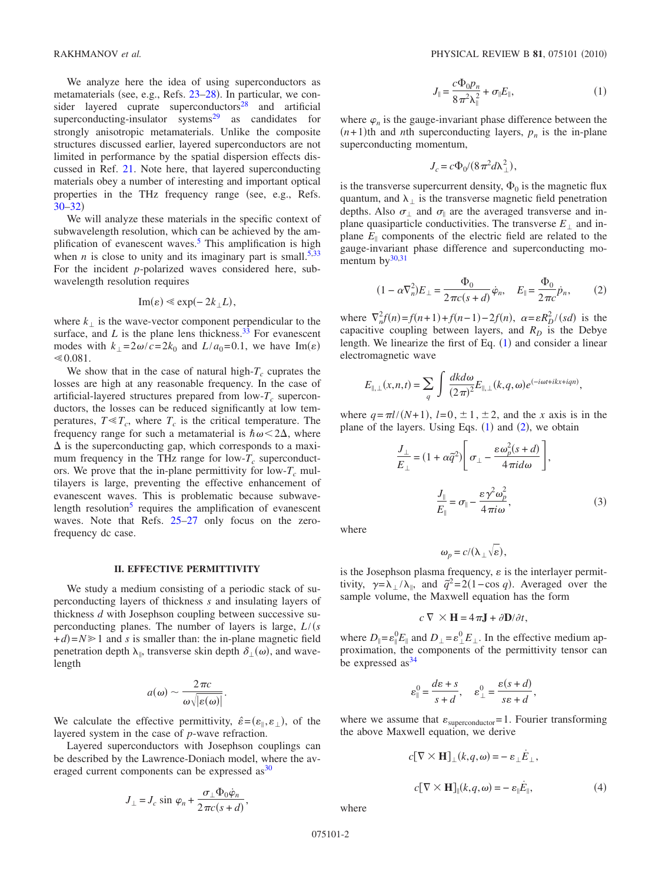We analyze here the idea of using superconductors as metamaterials (see, e.g., Refs. [23–](#page-4-16)[28](#page-5-0)). In particular, we consider layered cuprate superconductors<sup>28</sup> and artificial superconducting-insulator systems $^{29}$  as candidates for strongly anisotropic metamaterials. Unlike the composite structures discussed earlier, layered superconductors are not limited in performance by the spatial dispersion effects discussed in Ref. [21.](#page-4-14) Note here, that layered superconducting materials obey a number of interesting and important optical properties in the THz frequency range (see, e.g., Refs.  $30 - 32$  $30 - 32$ 

We will analyze these materials in the specific context of subwavelength resolution, which can be achieved by the amplification of evanescent waves.<sup>5</sup> This amplification is high when *n* is close to unity and its imaginary part is small.<sup>5[,33](#page-5-4)</sup> For the incident *p*-polarized waves considered here, subwavelength resolution requires

$$
\mathrm{Im}(\varepsilon) \ll \exp(-2k_{\perp}L),
$$

where  $k_{\perp}$  is the wave-vector component perpendicular to the surface, and  $L$  is the plane lens thickness.<sup>33</sup> For evanescent modes with  $k_{\perp} = 2\omega/c = 2k_0$  and  $L/a_0 = 0.1$ , we have Im( $\varepsilon$ )  $\leq 0.081$ .

We show that in the case of natural high- $T_c$  cuprates the losses are high at any reasonable frequency. In the case of artificial-layered structures prepared from  $\text{low-}T_c$  superconductors, the losses can be reduced significantly at low temperatures,  $T \ll T_c$ , where  $T_c$  is the critical temperature. The frequency range for such a metamaterial is  $\hbar \omega < 2\Delta$ , where  $\Delta$  is the superconducting gap, which corresponds to a maximum frequency in the THz range for  $low-T_c$  superconductors. We prove that the in-plane permittivity for  $low-T_c$  multilayers is large, preventing the effective enhancement of evanescent waves. This is problematic because subwavelength resolution<sup>5</sup> requires the amplification of evanescent waves. Note that Refs. [25–](#page-4-17)[27](#page-4-18) only focus on the zerofrequency dc case.

#### **II. EFFECTIVE PERMITTIVITY**

We study a medium consisting of a periodic stack of superconducting layers of thickness *s* and insulating layers of thickness *d* with Josephson coupling between successive superconducting planes. The number of layers is large, *L*/*s*  $+d$ = $N \ge 1$  and *s* is smaller than: the in-plane magnetic field penetration depth  $\lambda_{\parallel}$ , transverse skin depth  $\delta_{\perp}(\omega)$ , and wavelength

$$
a(\omega) \sim \frac{2\pi c}{\omega\sqrt{|\varepsilon(\omega)|}}.
$$

We calculate the effective permittivity,  $\hat{\varepsilon} = (\varepsilon_{\parallel}, \varepsilon_{\perp})$ , of the layered system in the case of *p*-wave refraction.

<span id="page-1-0"></span>Layered superconductors with Josephson couplings can be described by the Lawrence-Doniach model, where the averaged current components can be expressed as<sup>30</sup>

$$
J_{\perp} = J_c \sin \varphi_n + \frac{\sigma_{\perp} \Phi_0 \dot{\varphi}_n}{2 \pi c (s + d)}
$$

,

$$
J_{\parallel} = \frac{c\Phi_0 p_n}{8\pi^2 \lambda_{\parallel}^2} + \sigma_{\parallel} E_{\parallel},\tag{1}
$$

where  $\varphi_n$  is the gauge-invariant phase difference between the  $(n+1)$ th and *n*th superconducting layers,  $p_n$  is the in-plane superconducting momentum,

$$
J_c = c\Phi_0/(8\pi^2 d\lambda_\perp^2),
$$

is the transverse supercurrent density,  $\Phi_0$  is the magnetic flux quantum, and  $\lambda_{\perp}$  is the transverse magnetic field penetration depths. Also  $\sigma_{\perp}$  and  $\sigma_{\parallel}$  are the averaged transverse and inplane quasiparticle conductivities. The transverse  $E_{\perp}$  and inplane  $E_{\parallel}$  components of the electric field are related to the gauge-invariant phase difference and superconducting momentum by $30,31$  $30,31$ 

<span id="page-1-1"></span>
$$
(1 - \alpha \nabla_n^2) E_{\perp} = \frac{\Phi_0}{2 \pi c (s + d)} \dot{\varphi}_n, \quad E_{\parallel} = \frac{\Phi_0}{2 \pi c} \dot{p}_n, \tag{2}
$$

where  $\nabla_n^2 f(n) = f(n+1) + f(n-1) - 2f(n), \ \alpha = \varepsilon R_D^2 / (sd)$  is the capacitive coupling between layers, and  $R_D$  is the Debye length. We linearize the first of Eq.  $(1)$  $(1)$  $(1)$  and consider a linear electromagnetic wave

$$
E_{\parallel,\perp}(x,n,t) = \sum_{q} \int \frac{dkd\omega}{(2\pi)^2} E_{\parallel,\perp}(k,q,\omega) e^{(-i\omega t + ikx + iqn)},
$$

where  $q = \pi l/(N+1)$ ,  $l=0, \pm 1, \pm 2$ , and the *x* axis is in the plane of the layers. Using Eqs.  $(1)$  $(1)$  $(1)$  and  $(2)$  $(2)$  $(2)$ , we obtain

$$
\frac{J_{\perp}}{E_{\perp}} = (1 + \alpha \tilde{q}^2) \left[ \sigma_{\perp} - \frac{\varepsilon \omega_p^2 (s + d)}{4 \pi i d \omega} \right],
$$

$$
\frac{J_{\parallel}}{E_{\parallel}} = \sigma_{\parallel} - \frac{\varepsilon \gamma^2 \omega_p^2}{4 \pi i \omega},
$$
(3)

where

$$
\omega_p = c/(\lambda_\perp \sqrt{\varepsilon}),
$$

is the Josephson plasma frequency,  $\varepsilon$  is the interlayer permittivity,  $\gamma = \lambda_{\perp}/\lambda_{\parallel}$ , and  $\tilde{q}^2 = 2(1 - \cos q)$ . Averaged over the sample volume, the Maxwell equation has the form

$$
c \nabla \times \mathbf{H} = 4\pi \mathbf{J} + \partial \mathbf{D}/\partial t,
$$

where  $D_{\parallel} = \varepsilon_{\parallel}^0 E_{\parallel}$  and  $D_{\perp} = \varepsilon_{\perp}^0 E_{\perp}$ . In the effective medium approximation, the components of the permittivity tensor can be expressed  $as<sup>34</sup>$ 

$$
\varepsilon_{\parallel}^0 = \frac{d\varepsilon + s}{s + d}, \quad \varepsilon_{\perp}^0 = \frac{\varepsilon(s + d)}{s\varepsilon + d},
$$

where we assume that  $\varepsilon_{\text{superconductor}}=1$ . Fourier transforming the above Maxwell equation, we derive

$$
c[\nabla \times \mathbf{H}]_{\perp}(k, q, \omega) = -\varepsilon_{\perp} \dot{E}_{\perp},
$$

$$
c[\nabla \times \mathbf{H}]_{\parallel}(k, q, \omega) = -\varepsilon_{\parallel} \dot{E}_{\parallel},
$$
(4)

where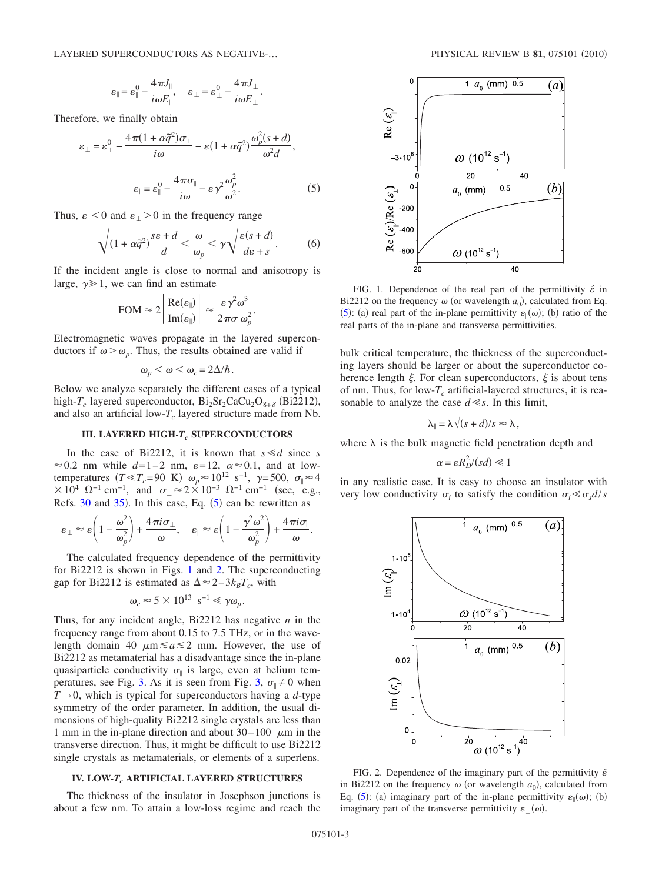$$
\varepsilon_{\parallel} = \varepsilon_{\parallel}^0 - \frac{4\pi J_{\parallel}}{i\omega E_{\parallel}}, \quad \varepsilon_{\perp} = \varepsilon_{\perp}^0 - \frac{4\pi J_{\perp}}{i\omega E_{\perp}}.
$$

<span id="page-2-0"></span>Therefore, we finally obtain

$$
\varepsilon_{\perp} = \varepsilon_{\perp}^{0} - \frac{4\pi(1 + \alpha \tilde{q}^{2})\sigma_{\perp}}{i\omega} - \varepsilon(1 + \alpha \tilde{q}^{2})\frac{\omega_{p}^{2}(s+d)}{\omega^{2}d},
$$

$$
\varepsilon_{\parallel} = \varepsilon_{\parallel}^{0} - \frac{4\pi\sigma_{\parallel}}{i\omega} - \varepsilon\gamma^{2}\frac{\omega_{p}^{2}}{\omega^{2}}.
$$
(5)

Thus,  $\varepsilon_{\parallel} < 0$  and  $\varepsilon_{\perp} > 0$  in the frequency range

$$
\sqrt{(1+\alpha \tilde{q}^2)\frac{s\epsilon+d}{d}} < \frac{\omega}{\omega_p} < \gamma \sqrt{\frac{\epsilon(s+d)}{ds+s}}.
$$
 (6)

If the incident angle is close to normal and anisotropy is large,  $\gamma \geq 1$ , we can find an estimate

$$
\text{FOM} \approx 2 \left| \frac{\text{Re}(\varepsilon_{\parallel})}{\text{Im}(\varepsilon_{\parallel})} \right| \approx \frac{\varepsilon \gamma^2 \omega^3}{2 \pi \sigma_{\parallel} \omega_p^2}.
$$

Electromagnetic waves propagate in the layered superconductors if  $\omega > \omega_p$ . Thus, the results obtained are valid if

$$
\omega_p < \omega < \omega_c = 2\Delta/\hbar.
$$

Below we analyze separately the different cases of a typical high- $T_c$  layered superconductor,  $Bi_2Sr_2CaCu_2O_{8+\delta}$  (Bi2212), and also an artificial low- $T_c$  layered structure made from Nb.

#### **III. LAYERED HIGH-T<sub>c</sub> SUPERCONDUCTORS**

In the case of Bi2212, it is known that  $s \le d$  since *s*  $\approx$  0.2 nm while  $d=1-2$  nm,  $\varepsilon=12$ ,  $\alpha \approx 0.1$ , and at lowtemperatures  $(T \ll T_c = 90 \text{ K})$   $\omega_p \approx 10^{12} \text{ s}^{-1}$ ,  $\gamma = 500$ ,  $\sigma_{\parallel} \approx 4$  $\times 10^4$   $\Omega^{-1}$  cm<sup>-1</sup>, and  $\sigma_{\perp} \approx 2 \times 10^{-3}$   $\Omega^{-1}$  cm<sup>-1</sup> (see, e.g., Refs.  $30$  and  $35$ ). In this case, Eq.  $(5)$  $(5)$  $(5)$  can be rewritten as

$$
\varepsilon_{\perp} \approx \varepsilon \left(1 - \frac{\omega^2}{\omega_p^2}\right) + \frac{4\pi i \sigma_{\perp}}{\omega}, \quad \varepsilon_{\parallel} \approx \varepsilon \left(1 - \frac{\gamma^2 \omega^2}{\omega_p^2}\right) + \frac{4\pi i \sigma_{\parallel}}{\omega}.
$$

The calculated frequency dependence of the permittivity for Bi2212 is shown in Figs. [1](#page-2-1) and [2.](#page-2-2) The superconducting gap for Bi2212 is estimated as  $\Delta \approx 2-3k_BT_c$ , with

$$
\omega_c \approx 5 \times 10^{13} \text{ s}^{-1} \ll \gamma \omega_p.
$$

Thus, for any incident angle, Bi2212 has negative *n* in the frequency range from about 0.15 to 7.5 THz, or in the wavelength domain 40  $\mu$ m  $\le a \le 2$  mm. However, the use of Bi2212 as metamaterial has a disadvantage since the in-plane quasiparticle conductivity  $\sigma_{\parallel}$  is large, even at helium tem-peratures, see Fig. [3.](#page-3-0) As it is seen from Fig. [3,](#page-3-0)  $\sigma_{\parallel} \neq 0$  when  $T\rightarrow 0$ , which is typical for superconductors having a *d*-type symmetry of the order parameter. In addition, the usual dimensions of high-quality Bi2212 single crystals are less than 1 mm in the in-plane direction and about  $30-100$   $\mu$ m in the transverse direction. Thus, it might be difficult to use Bi2212 single crystals as metamaterials, or elements of a superlens.

#### **IV. LOW-***Tc* **ARTIFICIAL LAYERED STRUCTURES**

The thickness of the insulator in Josephson junctions is about a few nm. To attain a low-loss regime and reach the

<span id="page-2-1"></span>

FIG. 1. Dependence of the real part of the permittivity  $\hat{\varepsilon}$  in Bi2212 on the frequency  $\omega$  (or wavelength  $a_0$ ), calculated from Eq. ([5](#page-2-0)): (a) real part of the in-plane permittivity  $\varepsilon_{\parallel}(\omega)$ ; (b) ratio of the real parts of the in-plane and transverse permittivities.

bulk critical temperature, the thickness of the superconducting layers should be larger or about the superconductor coherence length  $\xi$ . For clean superconductors,  $\xi$  is about tens of nm. Thus, for low- $T_c$  artificial-layered structures, it is reasonable to analyze the case  $d \ll s$ . In this limit,

$$
\lambda_{\parallel} = \lambda \sqrt{(s+d)/s} \approx \lambda,
$$

where  $\lambda$  is the bulk magnetic field penetration depth and

$$
\alpha = \varepsilon R_D^2/(sd) \ll 1
$$

in any realistic case. It is easy to choose an insulator with very low conductivity  $\sigma_i$  to satisfy the condition  $\sigma_i \ll \sigma_s d/s$ 

<span id="page-2-2"></span>

FIG. 2. Dependence of the imaginary part of the permittivity  $\hat{\epsilon}$ in Bi2212 on the frequency  $\omega$  (or wavelength  $a_0$ ), calculated from Eq. ([5](#page-2-0)): (a) imaginary part of the in-plane permittivity  $\varepsilon_{\parallel}(\omega)$ ; (b) imaginary part of the transverse permittivity  $\varepsilon_{\perp}(\omega)$ .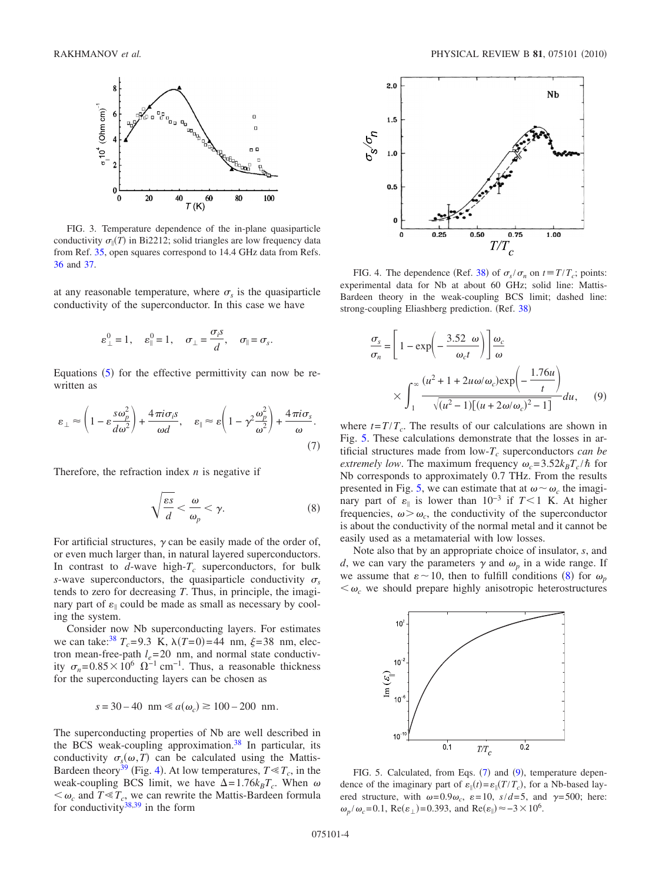<span id="page-3-0"></span>

FIG. 3. Temperature dependence of the in-plane quasiparticle conductivity  $\sigma_{\parallel}(T)$  in Bi2212; solid triangles are low frequency data from Ref. [35,](#page-5-7) open squares correspond to 14.4 GHz data from Refs.

at any reasonable temperature, where  $\sigma_s$  is the quasiparticle conductivity of the superconductor. In this case we have

$$
\varepsilon_{\perp}^0 = 1
$$
,  $\varepsilon_{\parallel}^0 = 1$ ,  $\sigma_{\perp} = \frac{\sigma_i s}{d}$ ,  $\sigma_{\parallel} = \sigma_s$ .

Equations  $(5)$  $(5)$  $(5)$  for the effective permittivity can now be rewritten as

<span id="page-3-4"></span>
$$
\varepsilon_{\perp} \approx \left(1 - \varepsilon \frac{s \omega_p^2}{d \omega^2}\right) + \frac{4 \pi i \sigma_i s}{\omega d}, \quad \varepsilon_{\parallel} \approx \varepsilon \left(1 - \gamma^2 \frac{\omega_p^2}{\omega^2}\right) + \frac{4 \pi i \sigma_s}{\omega}.
$$
\n(7)

<span id="page-3-3"></span>Therefore, the refraction index *n* is negative if

$$
\sqrt{\frac{\varepsilon s}{d}} < \frac{\omega}{\omega_p} < \gamma. \tag{8}
$$

For artificial structures,  $\gamma$  can be easily made of the order of, or even much larger than, in natural layered superconductors. In contrast to  $d$ -wave high- $T_c$  superconductors, for bulk *s*-wave superconductors, the quasiparticle conductivity  $\sigma_s$ tends to zero for decreasing *T*. Thus, in principle, the imaginary part of  $\varepsilon_{\parallel}$  could be made as small as necessary by cooling the system.

Consider now Nb superconducting layers. For estimates we can take:<sup>38</sup>  $T_c = 9.3$  K,  $\lambda(T=0) = 44$  nm,  $\xi = 38$  nm, electron mean-free-path  $l_e$ =20 nm, and normal state conductivity  $\sigma_n = 0.85 \times 10^6 \Omega^{-1}$  cm<sup>-1</sup>. Thus, a reasonable thickness for the superconducting layers can be chosen as

$$
s = 30 - 40
$$
 nm  $\ll a(\omega_c) \approx 100 - 200$  nm.

The superconducting properties of Nb are well described in the BCS weak-coupling approximation.<sup>38</sup> In particular, its conductivity  $\sigma_s(\omega, T)$  can be calculated using the Mattis-Bardeen theory<sup>39</sup> (Fig. [4](#page-3-1)). At low temperatures,  $T \ll T_c$ , in the weak-coupling BCS limit, we have  $\Delta = 1.76 k_B T_c$ . When  $\omega$  $\langle \omega_c \rangle$  and  $T \ll T_c$ , we can rewrite the Mattis-Bardeen formula for conductivity $38,39$  $38,39$  in the form

<span id="page-3-1"></span>

[36](#page-5-10) and [37.](#page-5-11) FIG. 4. The dependence (Ref. [38](#page-5-8)) of  $\sigma_s/\sigma_n$  on  $t \equiv T/T_c$ ; points: experimental data for Nb at about 60 GHz; solid line: Mattis-Bardeen theory in the weak-coupling BCS limit; dashed line: strong-coupling Eliashberg prediction. (Ref. [38](#page-5-8))

<span id="page-3-5"></span>
$$
\frac{\sigma_s}{\sigma_n} = \left[1 - \exp\left(-\frac{3.52 \omega}{\omega_c t}\right)\right] \frac{\omega_c}{\omega}
$$

$$
\times \int_1^\infty \frac{(u^2 + 1 + 2u\omega/\omega_c) \exp\left(-\frac{1.76u}{t}\right)}{\sqrt{(u^2 - 1)[(u + 2\omega/\omega_c)^2 - 1]}} du,
$$
(9)

where  $t = T/T_c$ . The results of our calculations are shown in Fig. [5.](#page-3-2) These calculations demonstrate that the losses in artificial structures made from  $low-T_c$  superconductors *can be extremely low.* The maximum frequency  $\omega_c = 3.52 k_B T_c / \hbar$  for Nb corresponds to approximately 0.7 THz. From the results presented in Fig. [5,](#page-3-2) we can estimate that at  $\omega \sim \omega_c$  the imaginary part of  $\varepsilon_{\parallel}$  is lower than 10<sup>-3</sup> if *T* < 1 K. At higher frequencies,  $\omega > \omega_c$ , the conductivity of the superconductor is about the conductivity of the normal metal and it cannot be easily used as a metamaterial with low losses.

Note also that by an appropriate choice of insulator, *s*, and *d*, we can vary the parameters  $\gamma$  and  $\omega_p$  in a wide range. If we assume that  $\varepsilon \sim 10$ , then to fulfill conditions ([8](#page-3-3)) for  $\omega_p$  $\langle \omega_c \rangle$  we should prepare highly anisotropic heterostructures

<span id="page-3-2"></span>

FIG. 5. Calculated, from Eqs. ([7](#page-3-4)) and ([9](#page-3-5)), temperature dependence of the imaginary part of  $\varepsilon_{\parallel}(t) = \varepsilon_{\parallel}(T/T_c)$ , for a Nb-based layered structure, with  $\omega = 0.9\omega_c$ ,  $\varepsilon = 10$ ,  $s/d = 5$ , and  $\gamma = 500$ ; here:  $\omega_p/\omega_c$ =0.1, Re( $\varepsilon_{\perp}$ )=0.393, and Re( $\varepsilon_{\parallel}$ )  $\approx$  -3  $\times$  10<sup>6</sup>.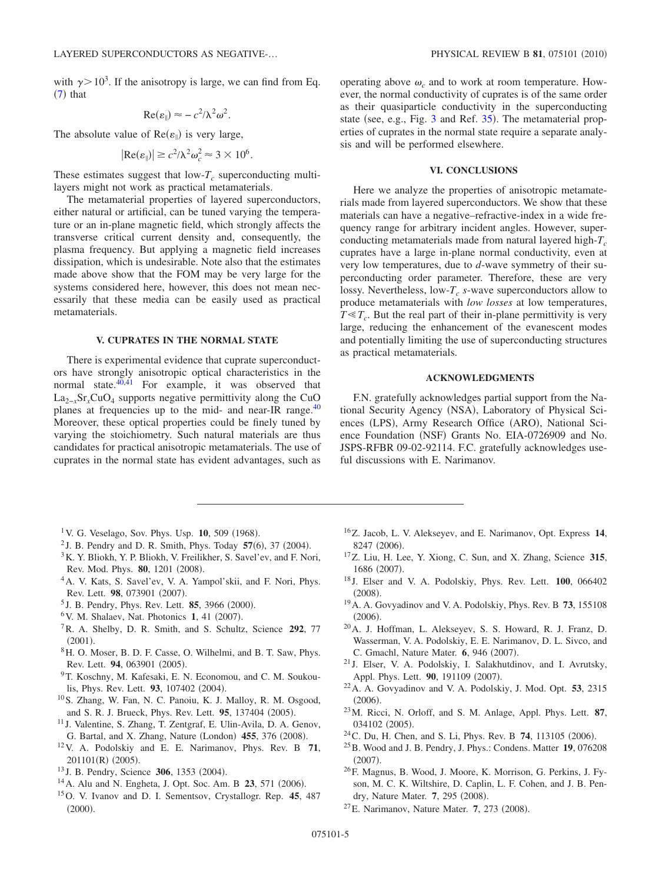with  $\gamma$  > 10<sup>3</sup>. If the anisotropy is large, we can find from Eq.  $(7)$  $(7)$  $(7)$  that

$$
\operatorname{Re}(\varepsilon_{\parallel}) \approx -c^2/\lambda^2 \omega^2.
$$

The absolute value of  $Re(\varepsilon_{\parallel})$  is very large,

$$
|\text{Re}(\varepsilon_{\parallel})| \geq c^2/\lambda^2 \omega_c^2 \approx 3 \times 10^6.
$$

These estimates suggest that  $low-T_c$  superconducting multilayers might not work as practical metamaterials.

The metamaterial properties of layered superconductors, either natural or artificial, can be tuned varying the temperature or an in-plane magnetic field, which strongly affects the transverse critical current density and, consequently, the plasma frequency. But applying a magnetic field increases dissipation, which is undesirable. Note also that the estimates made above show that the FOM may be very large for the systems considered here, however, this does not mean necessarily that these media can be easily used as practical metamaterials.

## **V. CUPRATES IN THE NORMAL STATE**

There is experimental evidence that cuprate superconductors have strongly anisotropic optical characteristics in the normal state. $40,41$  $40,41$  For example, it was observed that La<sub>2−x</sub>Sr<sub>x</sub>CuO<sub>4</sub> supports negative permittivity along the CuO planes at frequencies up to the mid- and near-IR range.<sup>40</sup> Moreover, these optical properties could be finely tuned by varying the stoichiometry. Such natural materials are thus candidates for practical anisotropic metamaterials. The use of cuprates in the normal state has evident advantages, such as

operating above  $\omega_c$  and to work at room temperature. However, the normal conductivity of cuprates is of the same order as their quasiparticle conductivity in the superconducting state (see, e.g., Fig.  $3$  and Ref.  $35$ ). The metamaterial properties of cuprates in the normal state require a separate analysis and will be performed elsewhere.

## **VI. CONCLUSIONS**

Here we analyze the properties of anisotropic metamaterials made from layered superconductors. We show that these materials can have a negative–refractive-index in a wide frequency range for arbitrary incident angles. However, superconducting metamaterials made from natural layered high- $T_c$ cuprates have a large in-plane normal conductivity, even at very low temperatures, due to *d*-wave symmetry of their superconducting order parameter. Therefore, these are very lossy. Nevertheless, low- $T_c$  *s*-wave superconductors allow to produce metamaterials with *low losses* at low temperatures,  $T \ll T_c$ . But the real part of their in-plane permittivity is very large, reducing the enhancement of the evanescent modes and potentially limiting the use of superconducting structures as practical metamaterials.

### **ACKNOWLEDGMENTS**

F.N. gratefully acknowledges partial support from the National Security Agency (NSA), Laboratory of Physical Sciences (LPS), Army Research Office (ARO), National Science Foundation (NSF) Grants No. EIA-0726909 and No. JSPS-RFBR 09-02-92114. F.C. gratefully acknowledges useful discussions with E. Narimanov.

- <span id="page-4-0"></span><sup>1</sup> V. G. Veselago, Sov. Phys. Usp. **10**, 509 (1968).
- <sup>2</sup> J. B. Pendry and D. R. Smith, Phys. Today  $57(6)$ , 37 (2004).
- <sup>3</sup>K. Y. Bliokh, Y. P. Bliokh, V. Freilikher, S. Savel'ev, and F. Nori, Rev. Mod. Phys. **80**, 1201 (2008).
- <span id="page-4-1"></span>4A. V. Kats, S. Savel'ev, V. A. Yampol'skii, and F. Nori, Phys. Rev. Lett. 98, 073901 (2007).
- <span id="page-4-2"></span><sup>5</sup> J. B. Pendry, Phys. Rev. Lett. **85**, 3966 (2000).
- <span id="page-4-3"></span><sup>6</sup> V. M. Shalaev, Nat. Photonics 1, 41 (2007).
- <span id="page-4-4"></span>7R. A. Shelby, D. R. Smith, and S. Schultz, Science **292**, 77  $(2001).$
- 8H. O. Moser, B. D. F. Casse, O. Wilhelmi, and B. T. Saw, Phys. Rev. Lett. 94, 063901 (2005).
- 9T. Koschny, M. Kafesaki, E. N. Economou, and C. M. Soukoulis, Phys. Rev. Lett. 93, 107402 (2004).
- <span id="page-4-5"></span>10S. Zhang, W. Fan, N. C. Panoiu, K. J. Malloy, R. M. Osgood, and S. R. J. Brueck, Phys. Rev. Lett. 95, 137404 (2005).
- <span id="page-4-6"></span><sup>11</sup> J. Valentine, S. Zhang, T. Zentgraf, E. Ulin-Avila, D. A. Genov, G. Bartal, and X. Zhang, Nature (London) 455, 376 (2008).
- <span id="page-4-7"></span>12V. A. Podolskiy and E. E. Narimanov, Phys. Rev. B **71**, 201101(R) (2005).
- <sup>13</sup> J. B. Pendry, Science **306**, 1353 (2004).
- <sup>14</sup> A. Alu and N. Engheta, J. Opt. Soc. Am. B **23**, 571 (2006).
- <span id="page-4-8"></span>15O. V. Ivanov and D. I. Sementsov, Crystallogr. Rep. **45**, 487  $(2000).$
- <span id="page-4-9"></span>16Z. Jacob, L. V. Alekseyev, and E. Narimanov, Opt. Express **14**, 8247 (2006).
- <span id="page-4-10"></span>17Z. Liu, H. Lee, Y. Xiong, C. Sun, and X. Zhang, Science **315**, 1686 (2007).
- <span id="page-4-11"></span><sup>18</sup> J. Elser and V. A. Podolskiy, Phys. Rev. Lett. **100**, 066402  $(2008).$
- <span id="page-4-12"></span>19A. A. Govyadinov and V. A. Podolskiy, Phys. Rev. B **73**, 155108  $(2006).$
- <span id="page-4-13"></span>20A. J. Hoffman, L. Alekseyev, S. S. Howard, R. J. Franz, D. Wasserman, V. A. Podolskiy, E. E. Narimanov, D. L. Sivco, and C. Gmachl, Nature Mater. **6**, 946 (2007).
- <span id="page-4-14"></span><sup>21</sup> J. Elser, V. A. Podolskiy, I. Salakhutdinov, and I. Avrutsky, Appl. Phys. Lett. 90, 191109 (2007).
- <span id="page-4-15"></span>22A. A. Govyadinov and V. A. Podolskiy, J. Mod. Opt. **53**, 2315  $(2006).$
- <span id="page-4-16"></span>23M. Ricci, N. Orloff, and S. M. Anlage, Appl. Phys. Lett. **87**, 034102 (2005).
- $2^4$ C. Du, H. Chen, and S. Li, Phys. Rev. B 74, 113105 (2006).
- <span id="page-4-17"></span>25B. Wood and J. B. Pendry, J. Phys.: Condens. Matter **19**, 076208  $(2007).$
- 26F. Magnus, B. Wood, J. Moore, K. Morrison, G. Perkins, J. Fyson, M. C. K. Wiltshire, D. Caplin, L. F. Cohen, and J. B. Pendry, Nature Mater. 7, 295 (2008).
- <span id="page-4-18"></span><sup>27</sup> E. Narimanov, Nature Mater. **7**, 273 (2008).